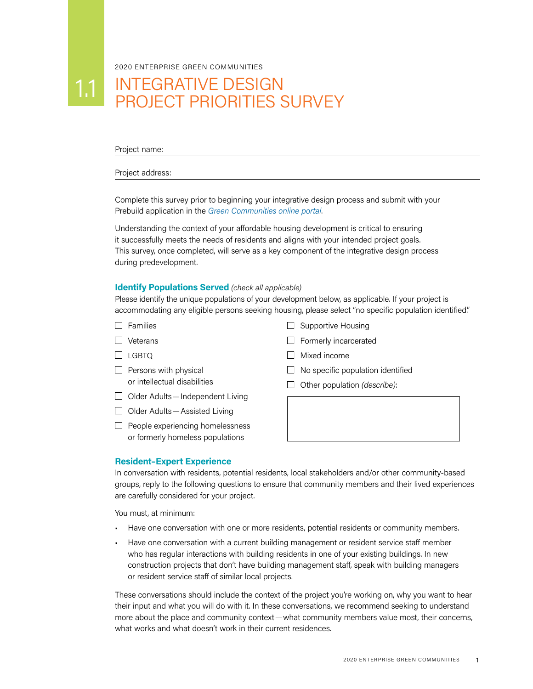2020 ENTERPRISE GREEN COMMUNITIES

# 1.1 INTEGRATIVE DESIGN PROJECT PRIORITIES SURVEY

Project name:

#### Project address:

Complete this survey prior to beginning your integrative design process and submit with your Prebuild application in the *[Green Communities online portal](https://www.e360community.com/ENT_Community_Login_Frm)*.

Understanding the context of your affordable housing development is critical to ensuring it successfully meets the needs of residents and aligns with your intended project goals. This survey, once completed, will serve as a key component of the integrative design process during predevelopment.

## **Identify Populations Served** *(check all applicable)*

Please identify the unique populations of your development below, as applicable. If your project is accommodating any eligible persons seeking housing, please select "no specific population identified."

- $\Box$  Families
- $\Box$  Veterans
- $\Box$  LGBTQ
- $\Box$  Persons with physical or intellectual disabilities
- $\Box$  Older Adults Independent Living
- $\Box$  Older Adults Assisted Living
- $\Box$  People experiencing homelessness or formerly homeless populations



- $\Box$  Formerly incarcerated
- $\Box$  Mixed income
- $\Box$  No specific population identified
- Other population *(describe)*:

#### **Resident–Expert Experience**

In conversation with residents, potential residents, local stakeholders and/or other community-based groups, reply to the following questions to ensure that community members and their lived experiences are carefully considered for your project.

You must, at minimum:

- Have one conversation with one or more residents, potential residents or community members.
- Have one conversation with a current building management or resident service staff member who has regular interactions with building residents in one of your existing buildings. In new construction projects that don't have building management staff, speak with building managers or resident service staff of similar local projects.

These conversations should include the context of the project you're working on, why you want to hear their input and what you will do with it. In these conversations, we recommend seeking to understand more about the place and community context—what community members value most, their concerns, what works and what doesn't work in their current residences.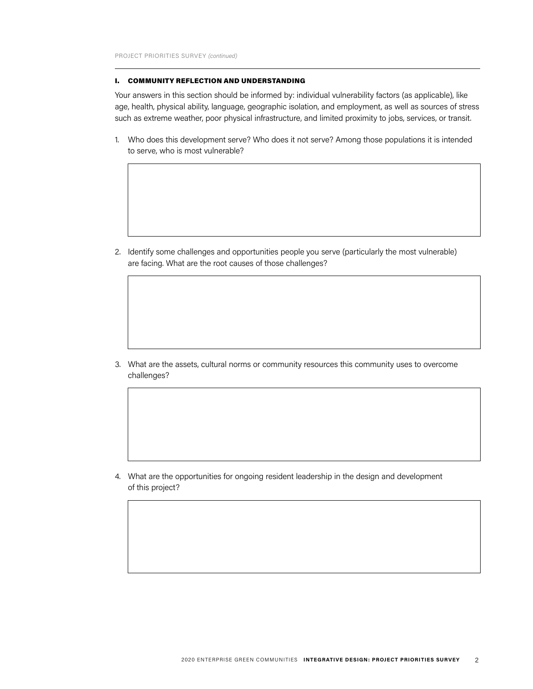#### I. COMMUNITY REFLECTION AND UNDERSTANDING

Your answers in this section should be informed by: individual vulnerability factors (as applicable), like age, health, physical ability, language, geographic isolation, and employment, as well as sources of stress such as extreme weather, poor physical infrastructure, and limited proximity to jobs, services, or transit.

1. Who does this development serve? Who does it not serve? Among those populations it is intended to serve, who is most vulnerable?

2. Identify some challenges and opportunities people you serve (particularly the most vulnerable) are facing. What are the root causes of those challenges?

3. What are the assets, cultural norms or community resources this community uses to overcome challenges?

4. What are the opportunities for ongoing resident leadership in the design and development of this project?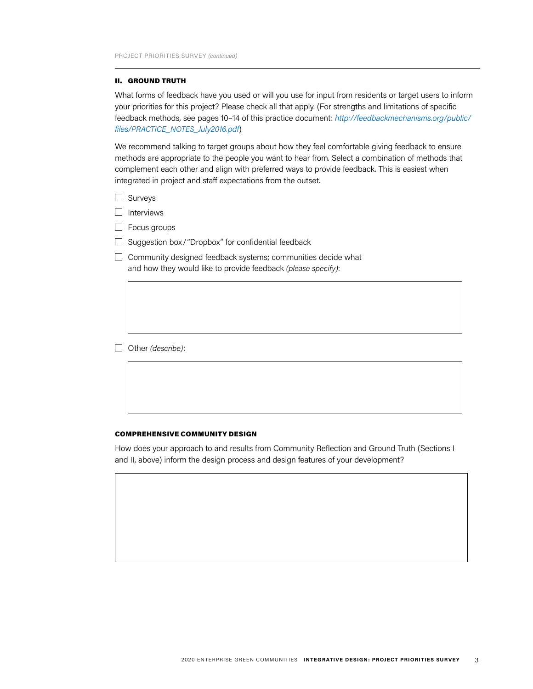#### II. GROUND TRUTH

What forms of feedback have you used or will you use for input from residents or target users to inform your priorities for this project? Please check all that apply. (For strengths and limitations of specific feedback methods, see pages 10–14 of this practice document: *[http://feedbackmechanisms.org/public/](http://feedbackmechanisms.org/public/files/PRACTICE_NOTES_July2016.pdf) [files/PRACTICE\\_NOTES\\_July2016.pdf](http://feedbackmechanisms.org/public/files/PRACTICE_NOTES_July2016.pdf)*)

We recommend talking to target groups about how they feel comfortable giving feedback to ensure methods are appropriate to the people you want to hear from. Select a combination of methods that complement each other and align with preferred ways to provide feedback. This is easiest when integrated in project and staff expectations from the outset.

- $\Box$  Surveys
- $\Box$  Interviews
- $\Box$  Focus groups
- $\Box$  Suggestion box/"Dropbox" for confidential feedback
- $\Box$  Community designed feedback systems; communities decide what and how they would like to provide feedback *(please specify)*:

Other *(describe)*:

#### COMPREHENSIVE COMMUNITY DESIGN

How does your approach to and results from Community Reflection and Ground Truth (Sections I and II, above) inform the design process and design features of your development?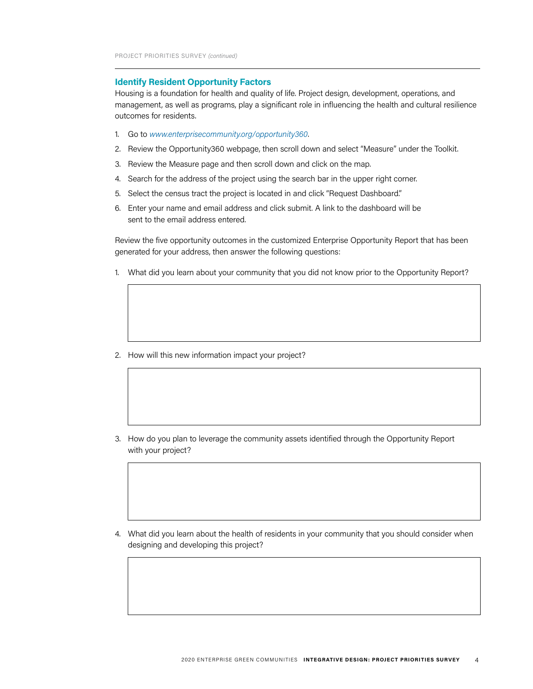#### **Identify Resident Opportunity Factors**

Housing is a foundation for health and quality of life. Project design, development, operations, and management, as well as programs, play a significant role in influencing the health and cultural resilience outcomes for residents.

- 1. Go to *www.enterprisecommunity.org/opportunity360*.
- 2. Review the Opportunity360 webpage, then scroll down and select "Measure" under the Toolkit.
- 3. Review the Measure page and then scroll down and click on the map.
- 4. Search for the address of the project using the search bar in the upper right corner.
- 5. Select the census tract the project is located in and click "Request Dashboard."
- 6. Enter your name and email address and click submit. A link to the dashboard will be sent to the email address entered.

Review the five opportunity outcomes in the customized Enterprise Opportunity Report that has been generated for your address, then answer the following questions:

1. What did you learn about your community that you did not know prior to the Opportunity Report?

2. How will this new information impact your project?

3. How do you plan to leverage the community assets identified through the Opportunity Report with your project?

4. What did you learn about the health of residents in your community that you should consider when designing and developing this project?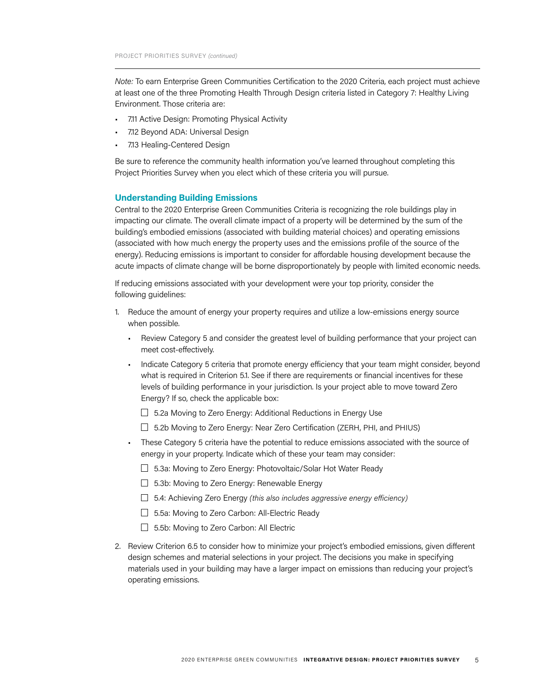*Note:* To earn Enterprise Green Communities Certification to the 2020 Criteria, each project must achieve at least one of the three Promoting Health Through Design criteria listed in Category 7: Healthy Living Environment. Those criteria are:

- 7.11 Active Design: Promoting Physical Activity
- 7.12 Beyond ADA: Universal Design
- 7.13 Healing-Centered Design

Be sure to reference the community health information you've learned throughout completing this Project Priorities Survey when you elect which of these criteria you will pursue.

### **Understanding Building Emissions**

Central to the 2020 Enterprise Green Communities Criteria is recognizing the role buildings play in impacting our climate. The overall climate impact of a property will be determined by the sum of the building's embodied emissions (associated with building material choices) and operating emissions (associated with how much energy the property uses and the emissions profile of the source of the energy). Reducing emissions is important to consider for affordable housing development because the acute impacts of climate change will be borne disproportionately by people with limited economic needs.

If reducing emissions associated with your development were your top priority, consider the following guidelines:

- 1. Reduce the amount of energy your property requires and utilize a low-emissions energy source when possible.
	- Review Category 5 and consider the greatest level of building performance that your project can meet cost-effectively.
	- Indicate Category 5 criteria that promote energy efficiency that your team might consider, beyond what is required in Criterion 5.1. See if there are requirements or financial incentives for these levels of building performance in your jurisdiction. Is your project able to move toward Zero Energy? If so, check the applicable box:
		- $\Box$  5.2a Moving to Zero Energy: Additional Reductions in Energy Use
		- $\Box$  5.2b Moving to Zero Energy: Near Zero Certification (ZERH, PHI, and PHIUS)
	- These Category 5 criteria have the potential to reduce emissions associated with the source of energy in your property. Indicate which of these your team may consider:
		- □ 5.3a: Moving to Zero Energy: Photovoltaic/Solar Hot Water Ready
		- $\Box$  5.3b: Moving to Zero Energy: Renewable Energy
		- 5.4: Achieving Zero Energy *(this also includes aggressive energy efficiency)*
		- □ 5.5a: Moving to Zero Carbon: All-Electric Ready
		- $\Box$  5.5b: Moving to Zero Carbon: All Electric
- 2. Review Criterion 6.5 to consider how to minimize your project's embodied emissions, given different design schemes and material selections in your project. The decisions you make in specifying materials used in your building may have a larger impact on emissions than reducing your project's operating emissions.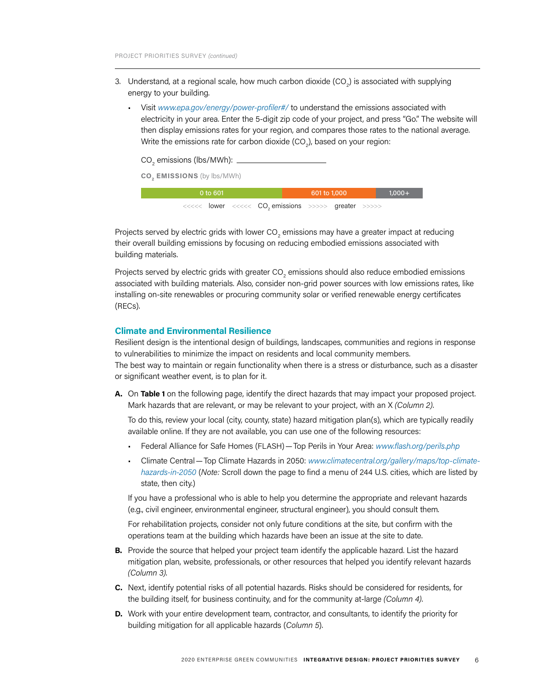- 3. Understand, at a regional scale, how much carbon dioxide (CO<sub>2</sub>) is associated with supplying energy to your building.
	- Visit *www.epa.gov/energy/power-profiler#/* to understand the emissions associated with electricity in your area. Enter the 5-digit zip code of your project, and press "Go." The website will then display emissions rates for your region, and compares those rates to the national average. Write the emissions rate for carbon dioxide (CO $_{_2}$ ), based on your region:

| CO <sub>2</sub> emissions (lbs/MWh): |  |
|--------------------------------------|--|
|                                      |  |

**CO2 EMISSIONS** (by lbs/MWh)

| $0$ to 601                                                       |  | 601 to 1,000 |  | $1,000+$ |
|------------------------------------------------------------------|--|--------------|--|----------|
| <<<<< lower <<<<< CO <sub>2</sub> emissions >>>>> greater >>>>>> |  |              |  |          |

Projects served by electric grids with lower CO $_2$  emissions may have a greater impact at reducing their overall building emissions by focusing on reducing embodied emissions associated with building materials.

Projects served by electric grids with greater CO $_{\tiny 2}$  emissions should also reduce embodied emissions associated with building materials. Also, consider non-grid power sources with low emissions rates, like installing on-site renewables or procuring community solar or verified renewable energy certificates (RECs).

#### **Climate and Environmental Resilience**

Resilient design is the intentional design of buildings, landscapes, communities and regions in response to vulnerabilities to minimize the impact on residents and local community members.

The best way to maintain or regain functionality when there is a stress or disturbance, such as a disaster or significant weather event, is to plan for it.

**A.** On **Table 1** on the following page, identify the direct hazards that may impact your proposed project. Mark hazards that are relevant, or may be relevant to your project, with an X *(Column 2)*.

 To do this, review your local (city, county, state) hazard mitigation plan(s), which are typically readily available online. If they are not available, you can use one of the following resources:

- Federal Alliance for Safe Homes (FLASH)—Top Perils in Your Area: *www.flash.org/perils.php*
- Climate Central—Top Climate Hazards in 2050: *www.climatecentral.org/gallery/maps/top-climatehazards-in-2050* (*Note:* Scroll down the page to find a menu of 244 U.S. cities, which are listed by state, then city.)

If you have a professional who is able to help you determine the appropriate and relevant hazards (e.g., civil engineer, environmental engineer, structural engineer), you should consult them.

For rehabilitation projects, consider not only future conditions at the site, but confirm with the operations team at the building which hazards have been an issue at the site to date.

- **B.** Provide the source that helped your project team identify the applicable hazard. List the hazard mitigation plan, website, professionals, or other resources that helped you identify relevant hazards *(Column 3)*.
- **C.** Next, identify potential risks of all potential hazards. Risks should be considered for residents, for the building itself, for business continuity, and for the community at-large *(Column 4)*.
- **D.** Work with your entire development team, contractor, and consultants, to identify the priority for building mitigation for all applicable hazards (*Column 5*).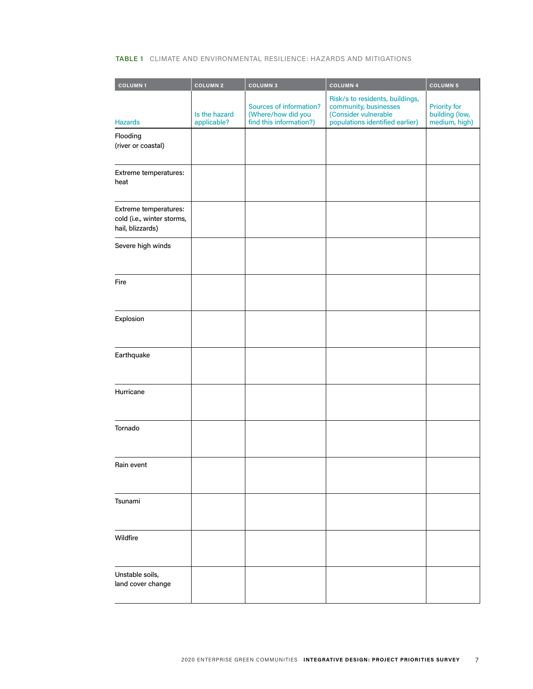# **TABLE 1** CLIMATE AND ENVIRONMENTAL RESILIENCE: HAZARDS AND MITIGATIONS

| <b>COLUMN1</b>                                                          | <b>COLUMN 2</b>              | <b>COLUMN3</b>                                                           | <b>COLUMN4</b>                                                                                                      | <b>COLUMN 5</b>                                        |
|-------------------------------------------------------------------------|------------------------------|--------------------------------------------------------------------------|---------------------------------------------------------------------------------------------------------------------|--------------------------------------------------------|
| <b>Hazards</b>                                                          | Is the hazard<br>applicable? | Sources of information?<br>(Where/how did you<br>find this information?) | Risk/s to residents, buildings,<br>community, businesses<br>(Consider vulnerable<br>populations identified earlier) | <b>Priority for</b><br>building (low,<br>medium, high) |
| Flooding<br>(river or coastal)                                          |                              |                                                                          |                                                                                                                     |                                                        |
| Extreme temperatures:<br>heat                                           |                              |                                                                          |                                                                                                                     |                                                        |
| Extreme temperatures:<br>cold (i.e., winter storms,<br>hail, blizzards) |                              |                                                                          |                                                                                                                     |                                                        |
| Severe high winds                                                       |                              |                                                                          |                                                                                                                     |                                                        |
| Fire                                                                    |                              |                                                                          |                                                                                                                     |                                                        |
| Explosion                                                               |                              |                                                                          |                                                                                                                     |                                                        |
| Earthquake                                                              |                              |                                                                          |                                                                                                                     |                                                        |
| Hurricane                                                               |                              |                                                                          |                                                                                                                     |                                                        |
| Tornado                                                                 |                              |                                                                          |                                                                                                                     |                                                        |
| Rain event                                                              |                              |                                                                          |                                                                                                                     |                                                        |
| Tsunami                                                                 |                              |                                                                          |                                                                                                                     |                                                        |
| Wildfire                                                                |                              |                                                                          |                                                                                                                     |                                                        |
| Unstable soils,<br>land cover change                                    |                              |                                                                          |                                                                                                                     |                                                        |